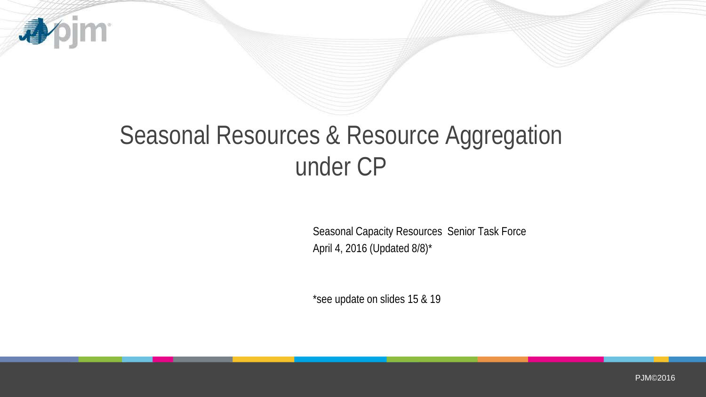

# Seasonal Resources & Resource Aggregation under CP

Seasonal Capacity Resources Senior Task Force April 4, 2016 (Updated 8/8)\*

\*see update on slides 15 & 19

PJM©2016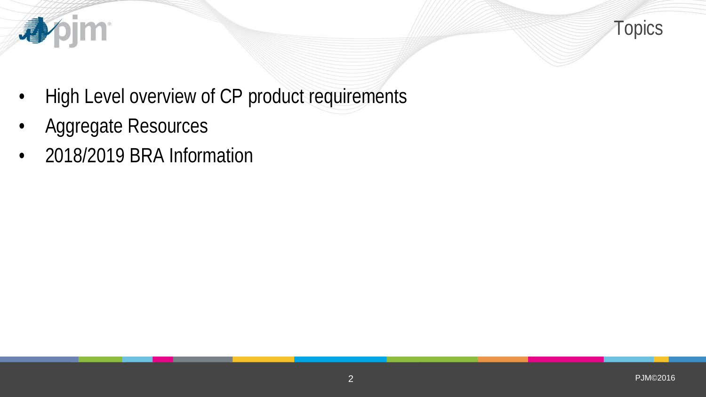

- High Level overview of CP product requirements
- Aggregate Resources

**心** 

• 2018/2019 BRA Information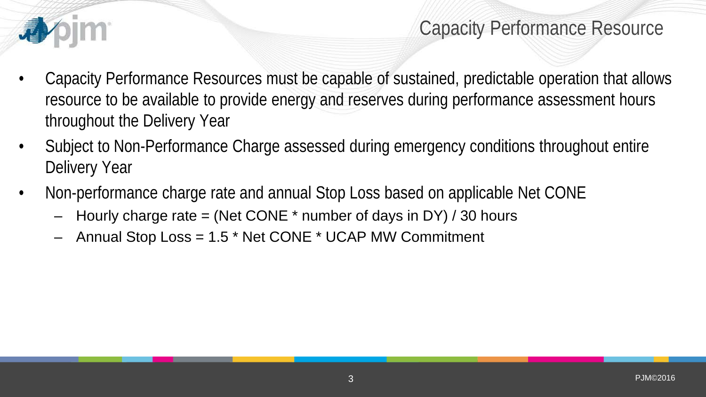

### Capacity Performance Resource

- Capacity Performance Resources must be capable of sustained, predictable operation that allows resource to be available to provide energy and reserves during performance assessment hours throughout the Delivery Year
- Subject to Non-Performance Charge assessed during emergency conditions throughout entire Delivery Year
- Non-performance charge rate and annual Stop Loss based on applicable Net CONE
	- Hourly charge rate = (Net CONE  $*$  number of days in DY) / 30 hours
	- Annual Stop Loss = 1.5 \* Net CONE \* UCAP MW Commitment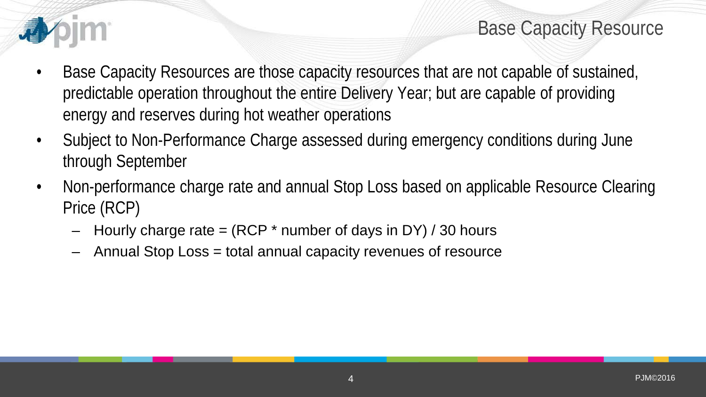

Base Capacity Resource

- Base Capacity Resources are those capacity resources that are not capable of sustained, predictable operation throughout the entire Delivery Year; but are capable of providing energy and reserves during hot weather operations
- Subject to Non-Performance Charge assessed during emergency conditions during June through September
- Non-performance charge rate and annual Stop Loss based on applicable Resource Clearing Price (RCP)
	- $-$  Hourly charge rate  $=$  (RCP  $*$  number of days in DY) / 30 hours
	- Annual Stop Loss = total annual capacity revenues of resource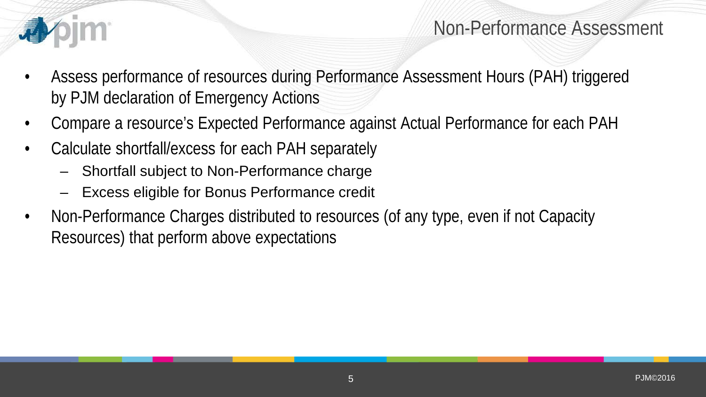

#### Non-Performance Assessment

- Assess performance of resources during Performance Assessment Hours (PAH) triggered by PJM declaration of Emergency Actions
- Compare a resource's Expected Performance against Actual Performance for each PAH
- Calculate shortfall/excess for each PAH separately
	- Shortfall subject to Non-Performance charge
	- Excess eligible for Bonus Performance credit
- Non-Performance Charges distributed to resources (of any type, even if not Capacity Resources) that perform above expectations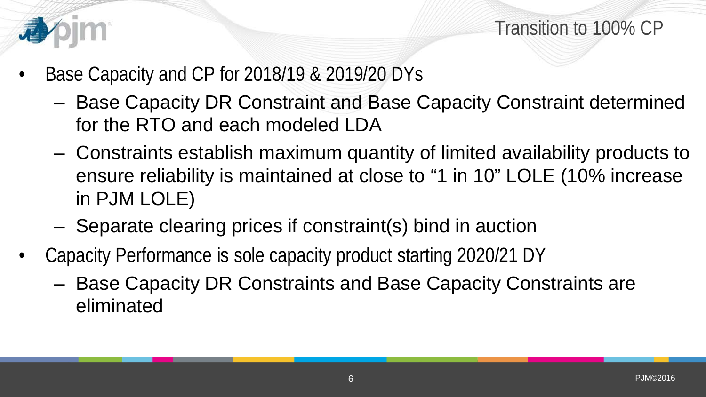

- Base Capacity and CP for 2018/19 & 2019/20 DYs
	- Base Capacity DR Constraint and Base Capacity Constraint determined for the RTO and each modeled LDA
	- Constraints establish maximum quantity of limited availability products to ensure reliability is maintained at close to "1 in 10" LOLE (10% increase in PJM LOLE)
	- Separate clearing prices if constraint(s) bind in auction
- Capacity Performance is sole capacity product starting 2020/21 DY
	- Base Capacity DR Constraints and Base Capacity Constraints are eliminated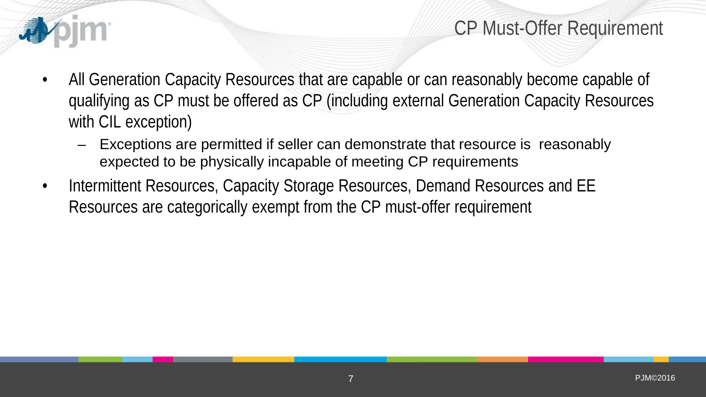

#### CP Must-Offer Requirement

- All Generation Capacity Resources that are capable or can reasonably become capable of qualifying as CP must be offered as CP (including external Generation Capacity Resources with CIL exception)
	- Exceptions are permitted if seller can demonstrate that resource is reasonably expected to be physically incapable of meeting CP requirements
- Intermittent Resources, Capacity Storage Resources, Demand Resources and EE Resources are categorically exempt from the CP must-offer requirement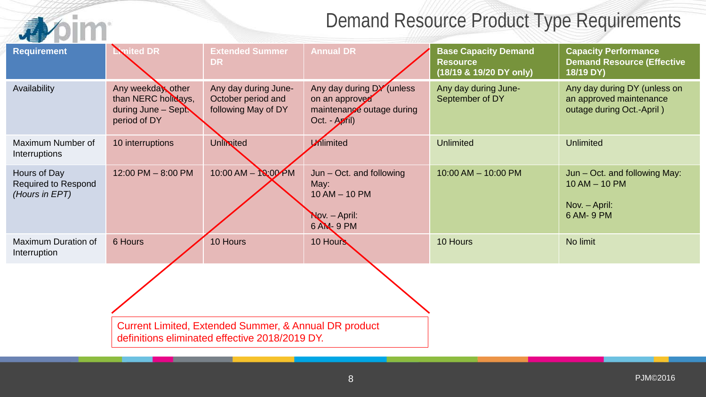# Demand Resource Product Type Requirements

|                                                              | Demand Resource Product Type Requirements                                       |                                                                                                                    |                                                                                           |                                                                           |                                                                                      |  |  |  |
|--------------------------------------------------------------|---------------------------------------------------------------------------------|--------------------------------------------------------------------------------------------------------------------|-------------------------------------------------------------------------------------------|---------------------------------------------------------------------------|--------------------------------------------------------------------------------------|--|--|--|
| <b>Requirement</b>                                           | mited DR                                                                        | <b>Extended Summer</b><br><b>DR</b>                                                                                | <b>Annual DR</b>                                                                          | <b>Base Capacity Demand</b><br><b>Resource</b><br>(18/19 & 19/20 DY only) | <b>Capacity Performance</b><br><b>Demand Resource (Effective</b><br>18/19 DY)        |  |  |  |
| Availability                                                 | Any weekday other<br>than NERC holidays,<br>during June - Sept.<br>period of DY | Any day during June-<br>October period and<br>following May of DY                                                  | Any day during DY (unless<br>on an approved<br>maintenance outage during<br>Oct. - April) | Any day during June-<br>September of DY                                   | Any day during DY (unless on<br>an approved maintenance<br>outage during Oct.-April) |  |  |  |
| Maximum Number of<br>Interruptions                           | 10 interruptions                                                                | Unlimited                                                                                                          | Mimited                                                                                   | <b>Unlimited</b>                                                          | <b>Unlimited</b>                                                                     |  |  |  |
| Hours of Day<br><b>Required to Respond</b><br>(Hours in EPT) | 12:00 PM - 8:00 PM                                                              | 10:00 AM - 10:00 PM                                                                                                | Jun - Oct. and following<br>May:<br>$10$ AM $-$ 10 PM<br>Nov. - April:<br>6 AM- 9 PM      | 10:00 AM - 10:00 PM                                                       | Jun – Oct. and following May:<br>$10$ AM $-$ 10 PM<br>Nov. - April:<br>6 AM- 9 PM    |  |  |  |
| <b>Maximum Duration of</b><br>Interruption                   | 6 Hours                                                                         | 10 Hours                                                                                                           | 10 Hours                                                                                  | 10 Hours                                                                  | No limit                                                                             |  |  |  |
|                                                              |                                                                                 |                                                                                                                    |                                                                                           |                                                                           |                                                                                      |  |  |  |
|                                                              |                                                                                 | <b>Current Limited, Extended Summer, &amp; Annual DR product</b><br>definitions eliminated effective 2018/2019 DY. |                                                                                           |                                                                           |                                                                                      |  |  |  |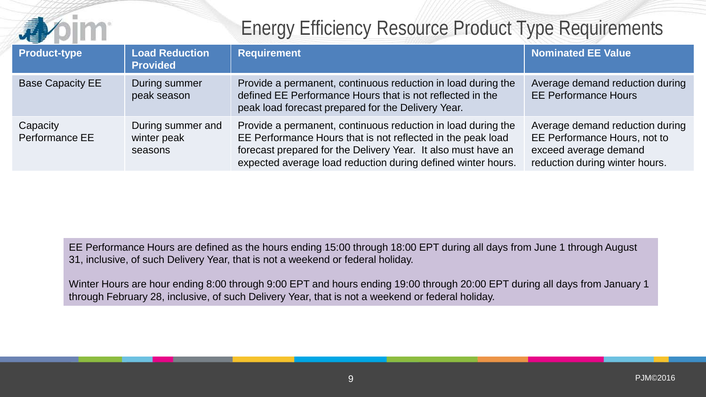

# Energy Efficiency Resource Product Type Requirements

| <b>Product-type</b>        | <b>Load Reduction</b><br><b>Provided</b>    | <b>Requirement</b>                                                                                                                                                                                                                                           | <b>Nominated EE Value</b>                                                                                                  |
|----------------------------|---------------------------------------------|--------------------------------------------------------------------------------------------------------------------------------------------------------------------------------------------------------------------------------------------------------------|----------------------------------------------------------------------------------------------------------------------------|
| <b>Base Capacity EE</b>    | During summer<br>peak season                | Provide a permanent, continuous reduction in load during the<br>defined EE Performance Hours that is not reflected in the<br>peak load forecast prepared for the Delivery Year.                                                                              | Average demand reduction during<br><b>EE Performance Hours</b>                                                             |
| Capacity<br>Performance EE | During summer and<br>winter peak<br>seasons | Provide a permanent, continuous reduction in load during the<br>EE Performance Hours that is not reflected in the peak load<br>forecast prepared for the Delivery Year. It also must have an<br>expected average load reduction during defined winter hours. | Average demand reduction during<br>EE Performance Hours, not to<br>exceed average demand<br>reduction during winter hours. |

EE Performance Hours are defined as the hours ending 15:00 through 18:00 EPT during all days from June 1 through August 31, inclusive, of such Delivery Year, that is not a weekend or federal holiday.

Winter Hours are hour ending 8:00 through 9:00 EPT and hours ending 19:00 through 20:00 EPT during all days from January 1 through February 28, inclusive, of such Delivery Year, that is not a weekend or federal holiday.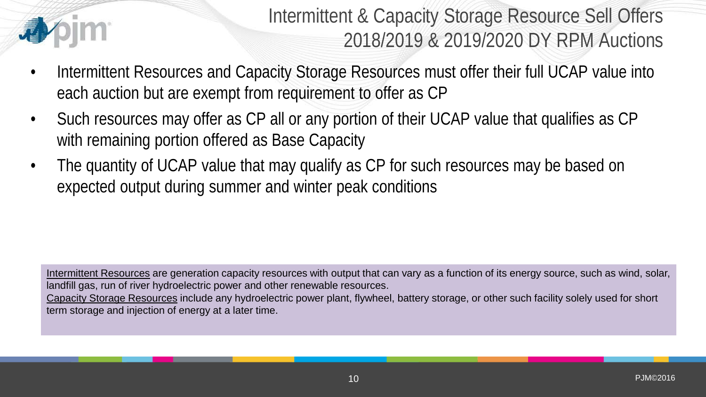

Intermittent & Capacity Storage Resource Sell Offers 2018/2019 & 2019/2020 DY RPM Auctions

- Intermittent Resources and Capacity Storage Resources must offer their full UCAP value into each auction but are exempt from requirement to offer as CP
- Such resources may offer as CP all or any portion of their UCAP value that qualifies as CP with remaining portion offered as Base Capacity
- The quantity of UCAP value that may qualify as CP for such resources may be based on expected output during summer and winter peak conditions

Intermittent Resources are generation capacity resources with output that can vary as a function of its energy source, such as wind, solar, landfill gas, run of river hydroelectric power and other renewable resources. Capacity Storage Resources include any hydroelectric power plant, flywheel, battery storage, or other such facility solely used for short term storage and injection of energy at a later time.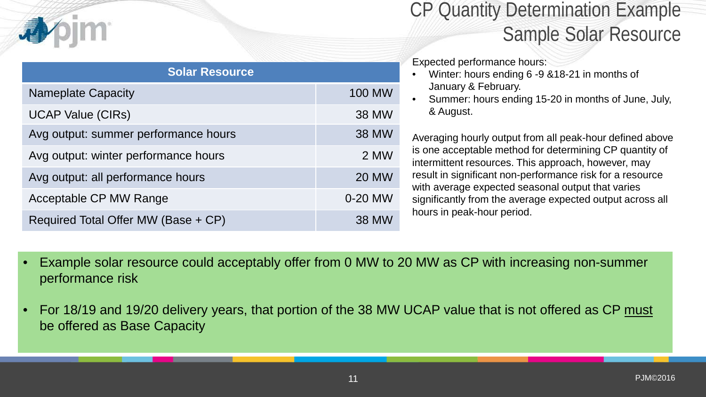| <b>Solar Resource</b>                |               |  |  |  |  |  |
|--------------------------------------|---------------|--|--|--|--|--|
| <b>Nameplate Capacity</b>            | <b>100 MW</b> |  |  |  |  |  |
| <b>UCAP Value (CIRs)</b>             | <b>38 MW</b>  |  |  |  |  |  |
| Avg output: summer performance hours | <b>38 MW</b>  |  |  |  |  |  |
| Avg output: winter performance hours | 2 MW          |  |  |  |  |  |
| Avg output: all performance hours    | <b>20 MW</b>  |  |  |  |  |  |
| Acceptable CP MW Range               | 0-20 MW       |  |  |  |  |  |
| Required Total Offer MW (Base + CP)  | <b>38 MW</b>  |  |  |  |  |  |

# CP Quantity Determination Example Sample Solar Resource

Expected performance hours:

- Winter: hours ending 6 -9 &18-21 in months of January & February.
- Summer: hours ending 15-20 in months of June, July, & August.

Averaging hourly output from all peak-hour defined above is one acceptable method for determining CP quantity of intermittent resources. This approach, however, may result in significant non-performance risk for a resource with average expected seasonal output that varies significantly from the average expected output across all hours in peak-hour period.

- Example solar resource could acceptably offer from 0 MW to 20 MW as CP with increasing non-summer performance risk
- For 18/19 and 19/20 delivery years, that portion of the 38 MW UCAP value that is not offered as CP must be offered as Base Capacity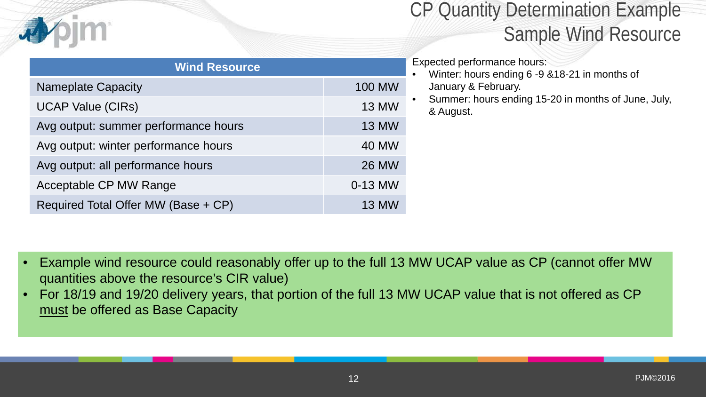| <b>Wind Resource</b>                 |               |  |  |  |  |  |
|--------------------------------------|---------------|--|--|--|--|--|
| <b>Nameplate Capacity</b>            | <b>100 MW</b> |  |  |  |  |  |
| <b>UCAP Value (CIRs)</b>             | <b>13 MW</b>  |  |  |  |  |  |
| Avg output: summer performance hours | <b>13 MW</b>  |  |  |  |  |  |
| Avg output: winter performance hours | <b>40 MW</b>  |  |  |  |  |  |
| Avg output: all performance hours    | <b>26 MW</b>  |  |  |  |  |  |
| Acceptable CP MW Range               | 0-13 MW       |  |  |  |  |  |
| Required Total Offer MW (Base + CP)  | <b>13 MW</b>  |  |  |  |  |  |

# CP Quantity Determination Example Sample Wind Resource

#### Expected performance hours:

- Winter: hours ending 6 -9 &18-21 in months of January & February.
- Summer: hours ending 15-20 in months of June, July, & August.

- Example wind resource could reasonably offer up to the full 13 MW UCAP value as CP (cannot offer MW quantities above the resource's CIR value)
- For 18/19 and 19/20 delivery years, that portion of the full 13 MW UCAP value that is not offered as CP must be offered as Base Capacity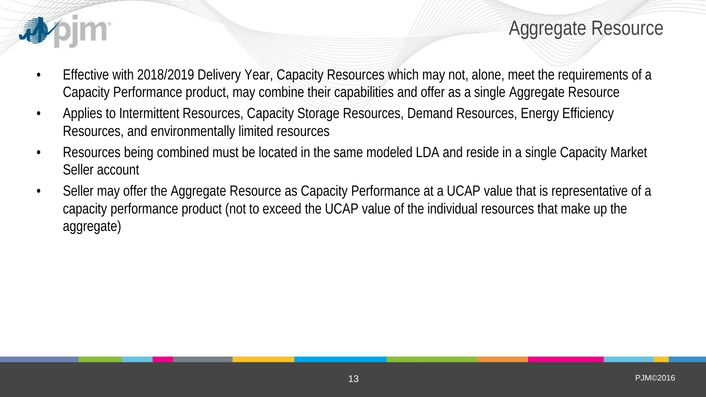

Aggregate Resource

- Effective with 2018/2019 Delivery Year, Capacity Resources which may not, alone, meet the requirements of a Capacity Performance product, may combine their capabilities and offer as a single Aggregate Resource
- Applies to Intermittent Resources, Capacity Storage Resources, Demand Resources, Energy Efficiency Resources, and environmentally limited resources
- Resources being combined must be located in the same modeled LDA and reside in a single Capacity Market Seller account
- Seller may offer the Aggregate Resource as Capacity Performance at a UCAP value that is representative of a capacity performance product (not to exceed the UCAP value of the individual resources that make up the aggregate)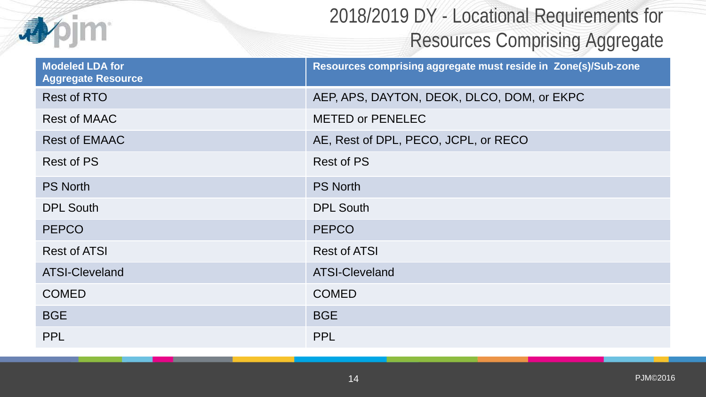

# 2018/2019 DY - Locational Requirements for Resources Comprising Aggregate

| <b>Modeled LDA for</b><br><b>Aggregate Resource</b> | Resources comprising aggregate must reside in Zone(s)/Sub-zone |
|-----------------------------------------------------|----------------------------------------------------------------|
| <b>Rest of RTO</b>                                  | AEP, APS, DAYTON, DEOK, DLCO, DOM, or EKPC                     |
| <b>Rest of MAAC</b>                                 | <b>METED or PENELEC</b>                                        |
| <b>Rest of EMAAC</b>                                | AE, Rest of DPL, PECO, JCPL, or RECO                           |
| <b>Rest of PS</b>                                   | <b>Rest of PS</b>                                              |
| <b>PS North</b>                                     | <b>PS North</b>                                                |
| <b>DPL South</b>                                    | <b>DPL South</b>                                               |
| <b>PEPCO</b>                                        | <b>PEPCO</b>                                                   |
| <b>Rest of ATSI</b>                                 | <b>Rest of ATSI</b>                                            |
| <b>ATSI-Cleveland</b>                               | <b>ATSI-Cleveland</b>                                          |
| <b>COMED</b>                                        | <b>COMED</b>                                                   |
| <b>BGE</b>                                          | <b>BGE</b>                                                     |
| <b>PPL</b>                                          | <b>PPL</b>                                                     |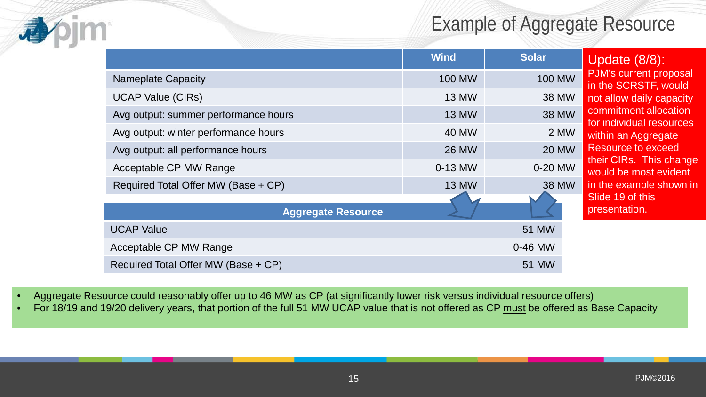# Example of Aggregate Resource

|                                      | <b>Wind</b>   | <b>Solar</b>  |
|--------------------------------------|---------------|---------------|
| <b>Nameplate Capacity</b>            | <b>100 MW</b> | <b>100 MW</b> |
| <b>UCAP Value (CIRs)</b>             | <b>13 MW</b>  | <b>38 MW</b>  |
| Avg output: summer performance hours | <b>13 MW</b>  | <b>38 MW</b>  |
| Avg output: winter performance hours | 40 MW         | 2 MW          |
| Avg output: all performance hours    | <b>26 MW</b>  | <b>20 MW</b>  |
| Acceptable CP MW Range               | 0-13 MW       | 0-20 MW       |
| Required Total Offer MW (Base + CP)  | <b>13 MW</b>  | <b>38 MW</b>  |
|                                      |               |               |
| <b>Aggregate Resource</b>            |               |               |
| <b>UCAP Value</b>                    |               | 51 MW         |
| Acceptable CP MW Range               |               | 0-46 MW       |
| Required Total Offer MW (Base + CP)  |               | 51 MW         |

Update (8/8): PJM's current proposal in the SCRSTF, would not allow daily capacity commitment allocation for individual resources within an Aggregate Resource to exceed their CIRs. This change would be most evident in the example shown in Slide 19 of this presentation.

- Aggregate Resource could reasonably offer up to 46 MW as CP (at significantly lower risk versus individual resource offers)
- For 18/19 and 19/20 delivery years, that portion of the full 51 MW UCAP value that is not offered as CP must be offered as Base Capacity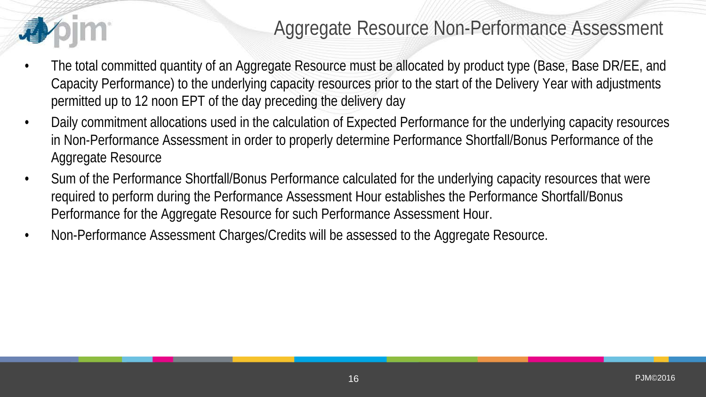### Aggregate Resource Non-Performance Assessment

- The total committed quantity of an Aggregate Resource must be allocated by product type (Base, Base DR/EE, and Capacity Performance) to the underlying capacity resources prior to the start of the Delivery Year with adjustments permitted up to 12 noon EPT of the day preceding the delivery day
- Daily commitment allocations used in the calculation of Expected Performance for the underlying capacity resources in Non-Performance Assessment in order to properly determine Performance Shortfall/Bonus Performance of the Aggregate Resource
- Sum of the Performance Shortfall/Bonus Performance calculated for the underlying capacity resources that were required to perform during the Performance Assessment Hour establishes the Performance Shortfall/Bonus Performance for the Aggregate Resource for such Performance Assessment Hour.
- Non-Performance Assessment Charges/Credits will be assessed to the Aggregate Resource.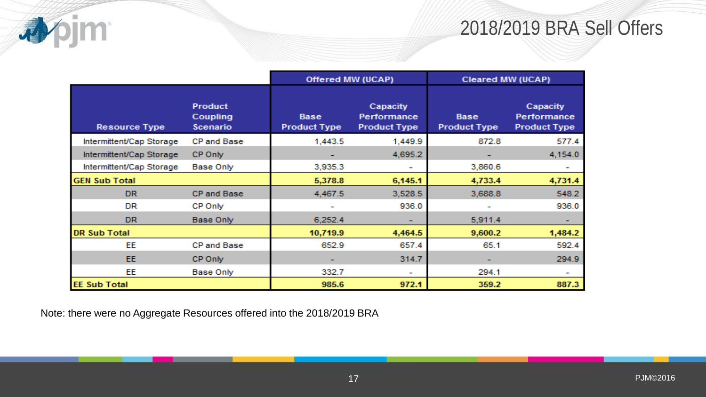# 2018/2019 BRA Sell Offers

|                          |                                               | Offered MW (UCAP)                  |                                                | <b>Cleared MW (UCAP)</b>           |                                                |
|--------------------------|-----------------------------------------------|------------------------------------|------------------------------------------------|------------------------------------|------------------------------------------------|
| <b>Resource Type</b>     | <b>Product</b><br>Coupling<br><b>Scenario</b> | <b>Base</b><br><b>Product Type</b> | Capacity<br>Performance<br><b>Product Type</b> | <b>Base</b><br><b>Product Type</b> | Capacity<br>Performance<br><b>Product Type</b> |
| Intermittent/Cap Storage | CP and Base                                   | 1,443.5                            | 1,449.9                                        | 872.8                              | 577.4                                          |
| Intermittent/Cap Storage | CP Only                                       |                                    | 4,695.2                                        |                                    | 4,154.0                                        |
| Intermittent/Cap Storage | Base Only                                     | 3,935.3                            |                                                | 3,860.6                            |                                                |
| <b>GEN Sub Total</b>     |                                               | 5,378.8                            | 6,145.1                                        | 4,733.4                            | 4,731.4                                        |
| <b>DR</b>                | CP and Base                                   | 4,467.5                            | 3,528.5                                        | 3,688.8                            | 548.2                                          |
| <b>DR</b>                | CP Only                                       |                                    | 936.0                                          |                                    | 936.0                                          |
| <b>DR</b>                | <b>Base Only</b>                              | 6,252.4                            |                                                | 5,911.4                            |                                                |
| <b>DR Sub Total</b>      |                                               | 10,719.9                           | 4,464.5                                        | 9,600.2                            | 1,484.2                                        |
| EE                       | CP and Base                                   | 652.9                              | 657.4                                          | 65.1                               | 592.4                                          |
| EE.                      | CP Only                                       | ۰                                  | 314.7                                          | ۰                                  | 294.9                                          |
| EE                       | Base Only                                     | 332.7                              | ۰                                              | 294.1                              |                                                |
| <b>EE Sub Total</b>      |                                               | 985.6                              | 972.1                                          | 359.2                              | 887.3                                          |

Note: there were no Aggregate Resources offered into the 2018/2019 BRA

小pjm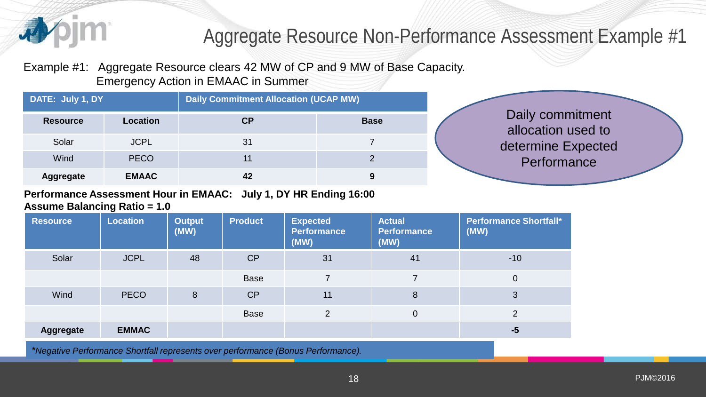

# Aggregate Resource Non-Performance Assessment Example #1

Example #1: Aggregate Resource clears 42 MW of CP and 9 MW of Base Capacity. Emergency Action in EMAAC in Summer

| DATE: July 1, DY |              | <b>Daily Commitment Allocation (UCAP MW)</b> |             |  |
|------------------|--------------|----------------------------------------------|-------------|--|
| <b>Resource</b>  | Location     | СP                                           | <b>Base</b> |  |
| Solar            | <b>JCPL</b>  | 31                                           |             |  |
| Wind             | <b>PECO</b>  |                                              |             |  |
| <b>Aggregate</b> | <b>EMAAC</b> | 42                                           | 9           |  |

Daily commitment allocation used to determine Expected **Performance** 

#### **Performance Assessment Hour in EMAAC: July 1, DY HR Ending 16:00 Assume Balancing Ratio = 1.0**

| <b>Resource</b>  | <b>Location</b> | <b>Output</b><br>(MW) | <b>Product</b> | <b>Expected</b><br><b>Performance</b><br>(MW) | <b>Actual</b><br><b>Performance</b><br>(MW) | <b>Performance Shortfall*</b><br>(MW) |
|------------------|-----------------|-----------------------|----------------|-----------------------------------------------|---------------------------------------------|---------------------------------------|
| Solar            | <b>JCPL</b>     | 48                    | CP             | 31                                            | 41                                          | $-10$                                 |
|                  |                 |                       | <b>Base</b>    | 7                                             |                                             | $\overline{0}$                        |
| Wind             | <b>PECO</b>     | 8                     | CP             | 11                                            | 8                                           | 3                                     |
|                  |                 |                       | <b>Base</b>    | $\overline{2}$                                | $\overline{0}$                              | $\overline{2}$                        |
| <b>Aggregate</b> | <b>EMMAC</b>    |                       |                |                                               |                                             | $-5$                                  |

*\*Negative Performance Shortfall represents over performance (Bonus Performance).*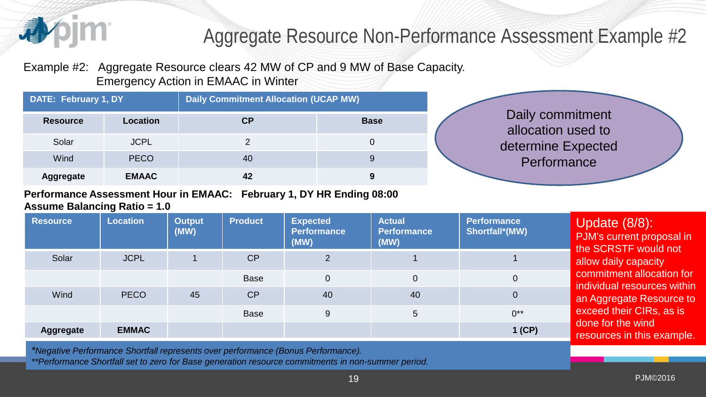

# Aggregate Resource Non-Performance Assessment Example #2

Example #2: Aggregate Resource clears 42 MW of CP and 9 MW of Base Capacity. Emergency Action in EMAAC in Winter

| DATE: February 1, DY |              | <b>Daily Commitment Allocation (UCAP MW)</b> |             |  |
|----------------------|--------------|----------------------------------------------|-------------|--|
| <b>Resource</b>      | Location     | <b>CP</b>                                    | <b>Base</b> |  |
| Solar                | <b>JCPL</b>  |                                              |             |  |
| Wind                 | <b>PECO</b>  | 40                                           |             |  |
| Aggregate            | <b>EMAAC</b> | 42                                           |             |  |

#### **Performance Assessment Hour in EMAAC: February 1, DY HR Ending 08:00 Assume Balancing Ratio = 1.0**

| <b>Resource</b>  | <b>Location</b> | <b>Output</b><br>(MW) | <b>Product</b> | <b>Expected</b><br><b>Performance</b><br>(MW) | <b>Actual</b><br><b>Performance</b><br>(MW) | <b>Performance</b><br><b>Shortfall*(MW)</b> | Update $(8/8)$ :<br>PJM's current proposal in<br>the SCRSTF would not |
|------------------|-----------------|-----------------------|----------------|-----------------------------------------------|---------------------------------------------|---------------------------------------------|-----------------------------------------------------------------------|
| Solar            | <b>JCPL</b>     |                       | CP             | $\overline{2}$                                |                                             |                                             | allow daily capacity                                                  |
|                  |                 |                       | <b>Base</b>    | $\mathbf 0$                                   | $\overline{0}$                              | $\overline{0}$                              | commitment allocation for<br>individual resources within              |
| Wind             | <b>PECO</b>     | 45                    | CP             | 40                                            | 40                                          | $\overline{0}$                              | an Aggregate Resource to                                              |
|                  |                 |                       | <b>Base</b>    | 9                                             | 5                                           | $0^{**}$                                    | exceed their CIRs, as is<br>done for the wind                         |
| <b>Aggregate</b> | <b>EMMAC</b>    |                       |                |                                               |                                             | $1$ (CP)                                    | resources in this example.                                            |

*\*Negative Performance Shortfall represents over performance (Bonus Performance).*

*\*\*Performance Shortfall set to zero for Base generation resource commitments in non-summer period.*